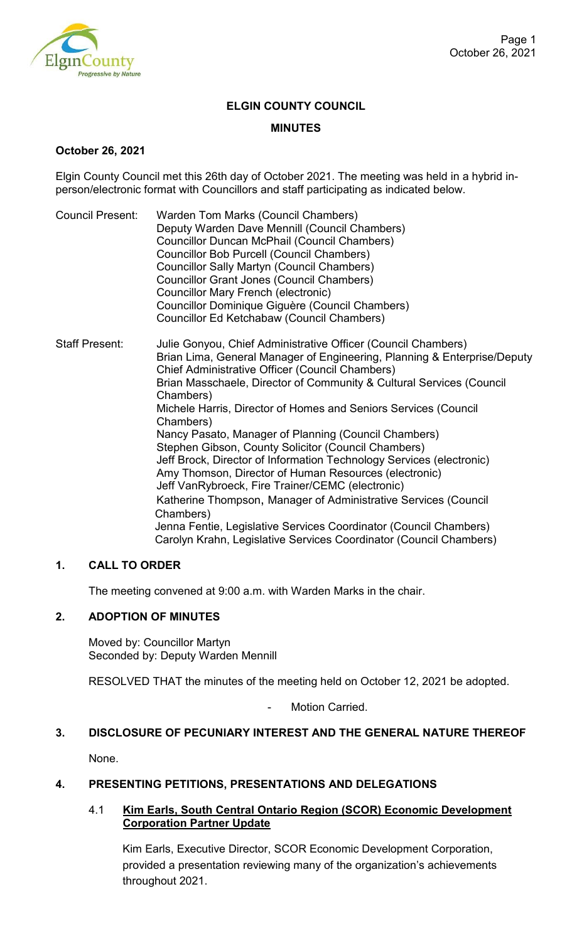

## **ELGIN COUNTY COUNCIL**

### **MINUTES**

#### **October 26, 2021**

Elgin County Council met this 26th day of October 2021. The meeting was held in a hybrid inperson/electronic format with Councillors and staff participating as indicated below.

- Council Present: Warden Tom Marks (Council Chambers) Deputy Warden Dave Mennill (Council Chambers) Councillor Duncan McPhail (Council Chambers) Councillor Bob Purcell (Council Chambers) Councillor Sally Martyn (Council Chambers) Councillor Grant Jones (Council Chambers) Councillor Mary French (electronic) Councillor Dominique Giguère (Council Chambers) Councillor Ed Ketchabaw (Council Chambers)
- Staff Present: Julie Gonyou, Chief Administrative Officer (Council Chambers) Brian Lima, General Manager of Engineering, Planning & Enterprise/Deputy Chief Administrative Officer (Council Chambers) Brian Masschaele, Director of Community & Cultural Services (Council Chambers) Michele Harris, Director of Homes and Seniors Services (Council Chambers) Nancy Pasato, Manager of Planning (Council Chambers) Stephen Gibson, County Solicitor (Council Chambers) Jeff Brock, Director of Information Technology Services (electronic) Amy Thomson, Director of Human Resources (electronic) Jeff VanRybroeck, Fire Trainer/CEMC (electronic) Katherine Thompson, Manager of Administrative Services (Council Chambers) Jenna Fentie, Legislative Services Coordinator (Council Chambers) Carolyn Krahn, Legislative Services Coordinator (Council Chambers)

## **1. CALL TO ORDER**

The meeting convened at 9:00 a.m. with Warden Marks in the chair.

## **2. ADOPTION OF MINUTES**

Moved by: Councillor Martyn Seconded by: Deputy Warden Mennill

RESOLVED THAT the minutes of the meeting held on October 12, 2021 be adopted.

Motion Carried

## **3. DISCLOSURE OF PECUNIARY INTEREST AND THE GENERAL NATURE THEREOF**

None.

## **4. PRESENTING PETITIONS, PRESENTATIONS AND DELEGATIONS**

### 4.1 **Kim Earls, South Central Ontario Region (SCOR) Economic Development Corporation Partner Update**

Kim Earls, Executive Director, SCOR Economic Development Corporation, provided a presentation reviewing many of the organization's achievements throughout 2021.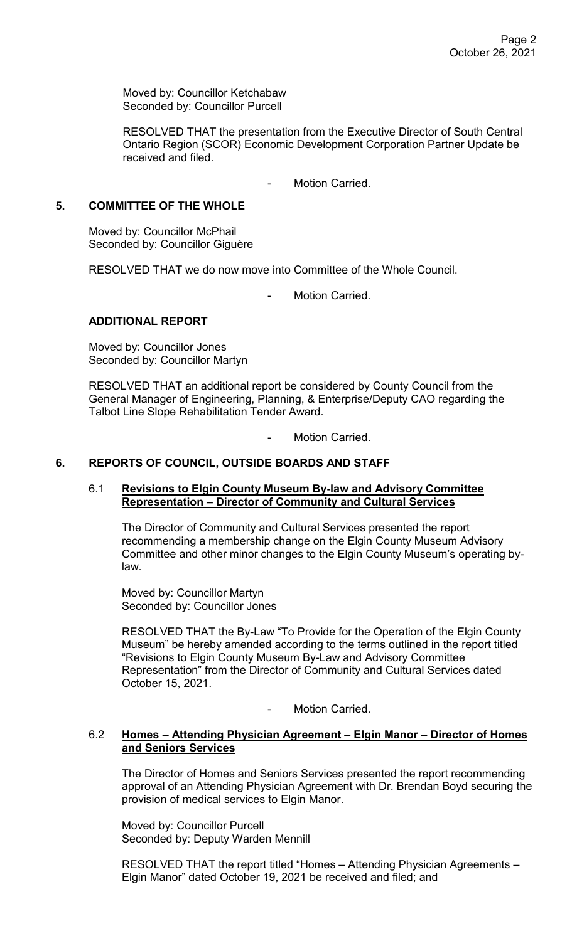Moved by: Councillor Ketchabaw Seconded by: Councillor Purcell

RESOLVED THAT the presentation from the Executive Director of South Central Ontario Region (SCOR) Economic Development Corporation Partner Update be received and filed.

Motion Carried.

# **5. COMMITTEE OF THE WHOLE**

Moved by: Councillor McPhail Seconded by: Councillor Giguère

RESOLVED THAT we do now move into Committee of the Whole Council.

Motion Carried.

## **ADDITIONAL REPORT**

Moved by: Councillor Jones Seconded by: Councillor Martyn

RESOLVED THAT an additional report be considered by County Council from the General Manager of Engineering, Planning, & Enterprise/Deputy CAO regarding the Talbot Line Slope Rehabilitation Tender Award.

Motion Carried.

## **6. REPORTS OF COUNCIL, OUTSIDE BOARDS AND STAFF**

### 6.1 **Revisions to Elgin County Museum By-law and Advisory Committee Representation – Director of Community and Cultural Services**

The Director of Community and Cultural Services presented the report recommending a membership change on the Elgin County Museum Advisory Committee and other minor changes to the Elgin County Museum's operating bylaw.

Moved by: Councillor Martyn Seconded by: Councillor Jones

RESOLVED THAT the By-Law "To Provide for the Operation of the Elgin County Museum" be hereby amended according to the terms outlined in the report titled "Revisions to Elgin County Museum By-Law and Advisory Committee Representation" from the Director of Community and Cultural Services dated October 15, 2021.

Motion Carried.

### 6.2 **Homes – Attending Physician Agreement – Elgin Manor – Director of Homes and Seniors Services**

The Director of Homes and Seniors Services presented the report recommending approval of an Attending Physician Agreement with Dr. Brendan Boyd securing the provision of medical services to Elgin Manor.

Moved by: Councillor Purcell Seconded by: Deputy Warden Mennill

RESOLVED THAT the report titled "Homes – Attending Physician Agreements – Elgin Manor" dated October 19, 2021 be received and filed; and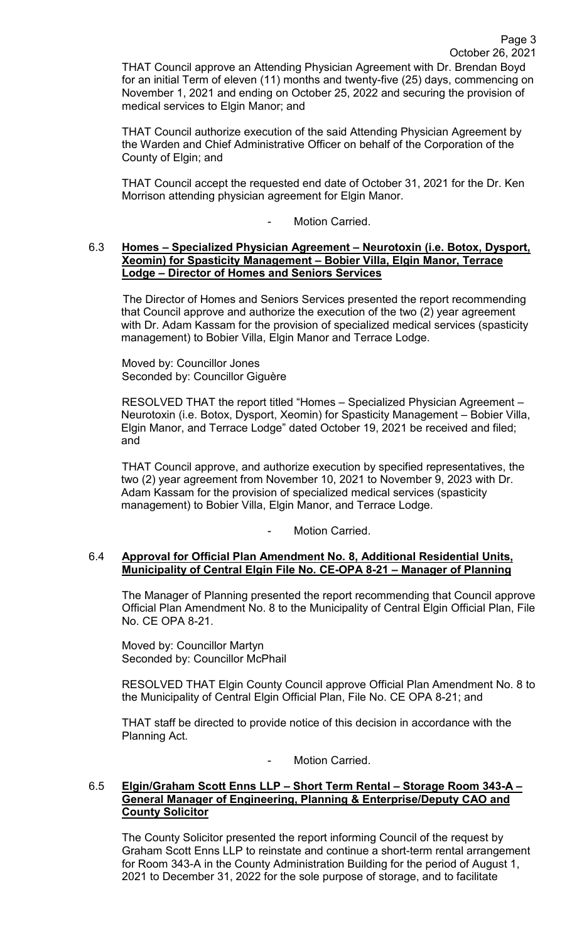THAT Council approve an Attending Physician Agreement with Dr. Brendan Boyd for an initial Term of eleven (11) months and twenty-five (25) days, commencing on November 1, 2021 and ending on October 25, 2022 and securing the provision of medical services to Elgin Manor; and

THAT Council authorize execution of the said Attending Physician Agreement by the Warden and Chief Administrative Officer on behalf of the Corporation of the County of Elgin; and

THAT Council accept the requested end date of October 31, 2021 for the Dr. Ken Morrison attending physician agreement for Elgin Manor.

Motion Carried.

#### 6.3 **Homes – Specialized Physician Agreement – Neurotoxin (i.e. Botox, Dysport, Xeomin) for Spasticity Management – Bobier Villa, Elgin Manor, Terrace Lodge – Director of Homes and Seniors Services**

The Director of Homes and Seniors Services presented the report recommending that Council approve and authorize the execution of the two (2) year agreement with Dr. Adam Kassam for the provision of specialized medical services (spasticity management) to Bobier Villa, Elgin Manor and Terrace Lodge.

Moved by: Councillor Jones Seconded by: Councillor Giguère

RESOLVED THAT the report titled "Homes – Specialized Physician Agreement – Neurotoxin (i.e. Botox, Dysport, Xeomin) for Spasticity Management – Bobier Villa, Elgin Manor, and Terrace Lodge" dated October 19, 2021 be received and filed; and

THAT Council approve, and authorize execution by specified representatives, the two (2) year agreement from November 10, 2021 to November 9, 2023 with Dr. Adam Kassam for the provision of specialized medical services (spasticity management) to Bobier Villa, Elgin Manor, and Terrace Lodge.

Motion Carried.

### 6.4 **Approval for Official Plan Amendment No. 8, Additional Residential Units, Municipality of Central Elgin File No. CE-OPA 8-21 – Manager of Planning**

The Manager of Planning presented the report recommending that Council approve Official Plan Amendment No. 8 to the Municipality of Central Elgin Official Plan, File No. CE OPA 8-21.

Moved by: Councillor Martyn Seconded by: Councillor McPhail

RESOLVED THAT Elgin County Council approve Official Plan Amendment No. 8 to the Municipality of Central Elgin Official Plan, File No. CE OPA 8-21; and

THAT staff be directed to provide notice of this decision in accordance with the Planning Act.

Motion Carried.

#### 6.5 **Elgin/Graham Scott Enns LLP – Short Term Rental – Storage Room 343-A – General Manager of Engineering, Planning & Enterprise/Deputy CAO and County Solicitor**

The County Solicitor presented the report informing Council of the request by Graham Scott Enns LLP to reinstate and continue a short-term rental arrangement for Room 343-A in the County Administration Building for the period of August 1, 2021 to December 31, 2022 for the sole purpose of storage, and to facilitate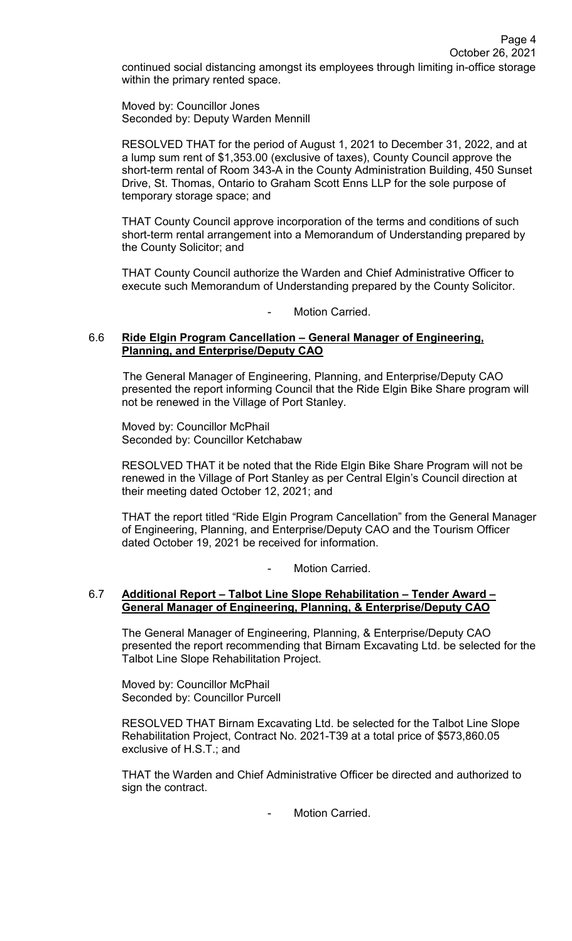October 26, 2021 continued social distancing amongst its employees through limiting in-office storage within the primary rented space.

Page 4

Moved by: Councillor Jones Seconded by: Deputy Warden Mennill

RESOLVED THAT for the period of August 1, 2021 to December 31, 2022, and at a lump sum rent of \$1,353.00 (exclusive of taxes), County Council approve the short-term rental of Room 343-A in the County Administration Building, 450 Sunset Drive, St. Thomas, Ontario to Graham Scott Enns LLP for the sole purpose of temporary storage space; and

THAT County Council approve incorporation of the terms and conditions of such short-term rental arrangement into a Memorandum of Understanding prepared by the County Solicitor; and

THAT County Council authorize the Warden and Chief Administrative Officer to execute such Memorandum of Understanding prepared by the County Solicitor.

Motion Carried.

#### 6.6 **Ride Elgin Program Cancellation – General Manager of Engineering, Planning, and Enterprise/Deputy CAO**

The General Manager of Engineering, Planning, and Enterprise/Deputy CAO presented the report informing Council that the Ride Elgin Bike Share program will not be renewed in the Village of Port Stanley.

Moved by: Councillor McPhail Seconded by: Councillor Ketchabaw

RESOLVED THAT it be noted that the Ride Elgin Bike Share Program will not be renewed in the Village of Port Stanley as per Central Elgin's Council direction at their meeting dated October 12, 2021; and

THAT the report titled "Ride Elgin Program Cancellation" from the General Manager of Engineering, Planning, and Enterprise/Deputy CAO and the Tourism Officer dated October 19, 2021 be received for information.

Motion Carried.

## 6.7 **Additional Report – Talbot Line Slope Rehabilitation – Tender Award – General Manager of Engineering, Planning, & Enterprise/Deputy CAO**

The General Manager of Engineering, Planning, & Enterprise/Deputy CAO presented the report recommending that Birnam Excavating Ltd. be selected for the Talbot Line Slope Rehabilitation Project.

Moved by: Councillor McPhail Seconded by: Councillor Purcell

RESOLVED THAT Birnam Excavating Ltd. be selected for the Talbot Line Slope Rehabilitation Project, Contract No. 2021-T39 at a total price of \$573,860.05 exclusive of H.S.T.; and

THAT the Warden and Chief Administrative Officer be directed and authorized to sign the contract.

Motion Carried.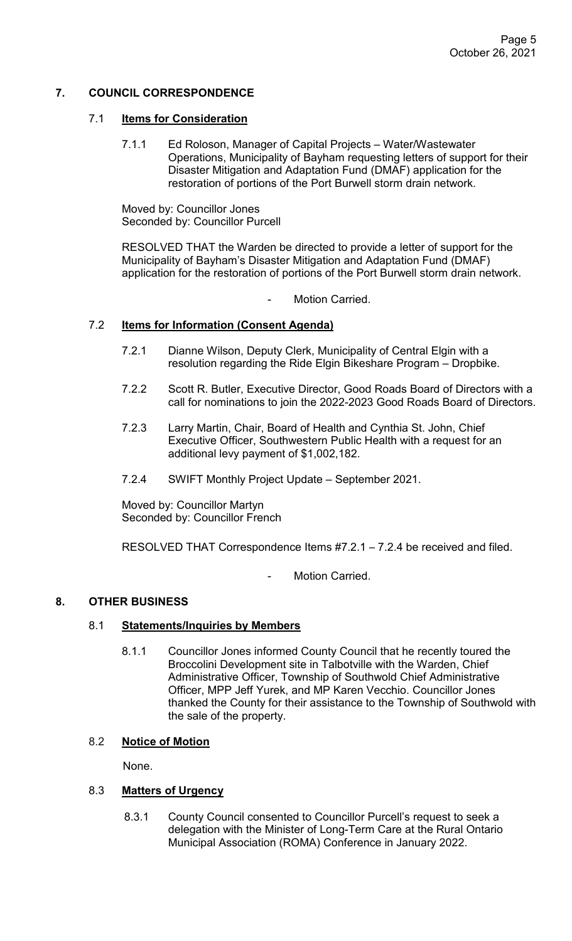# **7. COUNCIL CORRESPONDENCE**

### 7.1 **Items for Consideration**

7.1.1 Ed Roloson, Manager of Capital Projects – Water/Wastewater Operations, Municipality of Bayham requesting letters of support for their Disaster Mitigation and Adaptation Fund (DMAF) application for the restoration of portions of the Port Burwell storm drain network.

Moved by: Councillor Jones Seconded by: Councillor Purcell

RESOLVED THAT the Warden be directed to provide a letter of support for the Municipality of Bayham's Disaster Mitigation and Adaptation Fund (DMAF) application for the restoration of portions of the Port Burwell storm drain network.

Motion Carried.

## 7.2 **Items for Information (Consent Agenda)**

- 7.2.1 Dianne Wilson, Deputy Clerk, Municipality of Central Elgin with a resolution regarding the Ride Elgin Bikeshare Program – Dropbike.
- 7.2.2 Scott R. Butler, Executive Director, Good Roads Board of Directors with a call for nominations to join the 2022-2023 Good Roads Board of Directors.
- 7.2.3 Larry Martin, Chair, Board of Health and Cynthia St. John, Chief Executive Officer, Southwestern Public Health with a request for an additional levy payment of \$1,002,182.
- 7.2.4 SWIFT Monthly Project Update September 2021.

Moved by: Councillor Martyn Seconded by: Councillor French

RESOLVED THAT Correspondence Items #7.2.1 – 7.2.4 be received and filed.

Motion Carried.

## **8. OTHER BUSINESS**

### 8.1 **Statements/Inquiries by Members**

8.1.1 Councillor Jones informed County Council that he recently toured the Broccolini Development site in Talbotville with the Warden, Chief Administrative Officer, Township of Southwold Chief Administrative Officer, MPP Jeff Yurek, and MP Karen Vecchio. Councillor Jones thanked the County for their assistance to the Township of Southwold with the sale of the property.

## 8.2 **Notice of Motion**

None.

#### 8.3 **Matters of Urgency**

 8.3.1 County Council consented to Councillor Purcell's request to seek a delegation with the Minister of Long-Term Care at the Rural Ontario Municipal Association (ROMA) Conference in January 2022.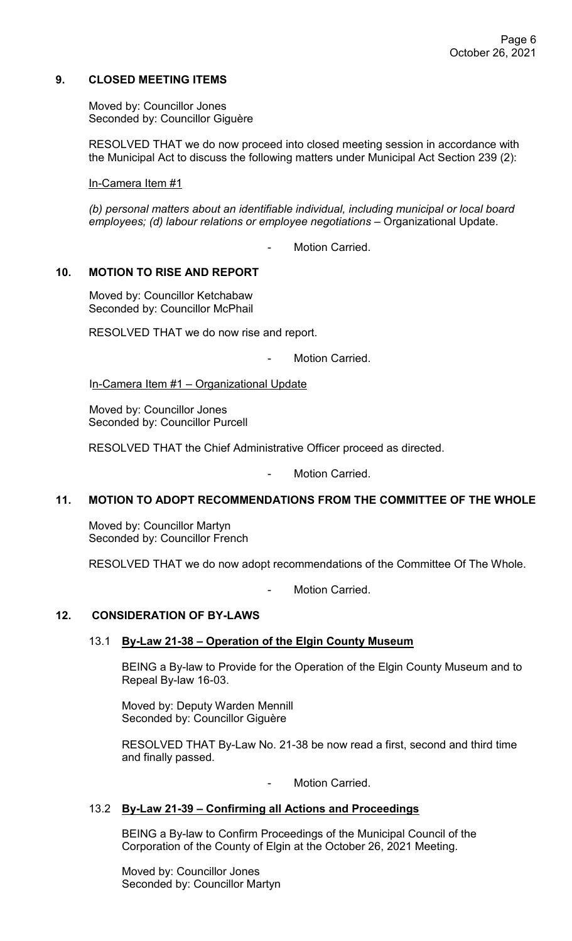## **9. CLOSED MEETING ITEMS**

Moved by: Councillor Jones Seconded by: Councillor Giguère

RESOLVED THAT we do now proceed into closed meeting session in accordance with the Municipal Act to discuss the following matters under Municipal Act Section 239 (2):

In-Camera Item #1

*(b) personal matters about an identifiable individual, including municipal or local board employees; (d) labour relations or employee negotiations* – Organizational Update.

Motion Carried.

#### **10. MOTION TO RISE AND REPORT**

Moved by: Councillor Ketchabaw Seconded by: Councillor McPhail

RESOLVED THAT we do now rise and report.

Motion Carried.

In-Camera Item #1 – Organizational Update

Moved by: Councillor Jones Seconded by: Councillor Purcell

RESOLVED THAT the Chief Administrative Officer proceed as directed.

Motion Carried.

#### **11. MOTION TO ADOPT RECOMMENDATIONS FROM THE COMMITTEE OF THE WHOLE**

Moved by: Councillor Martyn Seconded by: Councillor French

RESOLVED THAT we do now adopt recommendations of the Committee Of The Whole.

Motion Carried

### **12. CONSIDERATION OF BY-LAWS**

#### 13.1 **By-Law 21-38 – Operation of the Elgin County Museum**

BEING a By-law to Provide for the Operation of the Elgin County Museum and to Repeal By-law 16-03.

Moved by: Deputy Warden Mennill Seconded by: Councillor Giguère

RESOLVED THAT By-Law No. 21-38 be now read a first, second and third time and finally passed.

Motion Carried.

#### 13.2 **By-Law 21-39 – Confirming all Actions and Proceedings**

BEING a By-law to Confirm Proceedings of the Municipal Council of the Corporation of the County of Elgin at the October 26, 2021 Meeting.

Moved by: Councillor Jones Seconded by: Councillor Martyn